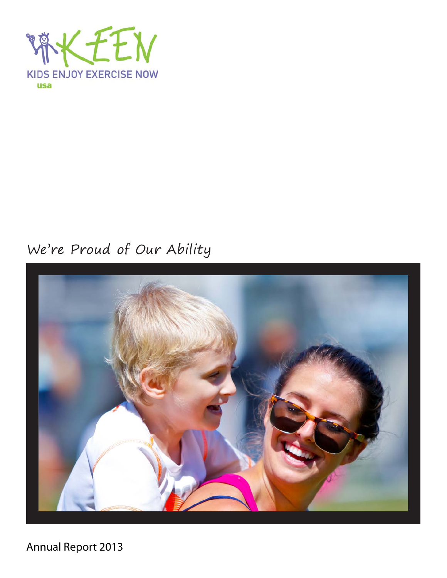

## We're Proud of Our Ability



Annual Report 2013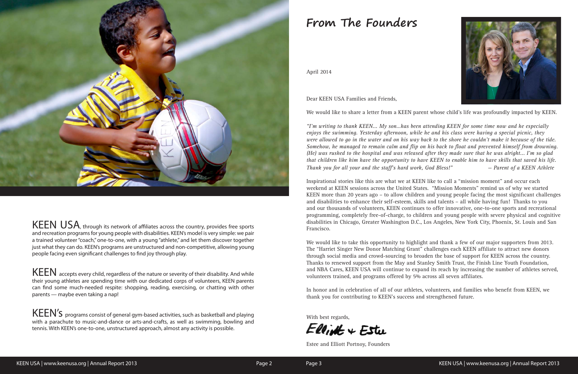# **From The Founders**



KEEN USA, through its network of affiliates across the country, provides free sports and recreation programs for young people with disabilities. KEEN's model is very simple: we pair a trained volunteer "coach," one-to-one, with a young "athlete," and let them discover together just what they can do. KEEN's programs are unstructured and non-competitive, allowing young people facing even significant challenges to find joy through play.

KEEN accepts every child, regardless of the nature or severity of their disability. And while their young athletes are spending time with our dedicated corps of volunteers, KEEN parents can find some much-needed respite: shopping, reading, exercising, or chatting with other parents — maybe even taking a nap!

KEEN'S programs consist of general gym-based activities, such as basketball and playing with a parachute to music-and-dance or arts-and-crafts, as well as swimming, bowling and tennis. With KEEN's one-to-one, unstructured approach, almost any activity is possible.

April 2014

Dear KEEN USA Families and Friends,

We would like to share a letter from a KEEN parent whose child's life was profoundly impacted by KEEN.

*"I'm writing to thank KEEN... My son…has been attending KEEN for some time now and he especially enjoys the swimming. Yesterday afternoon, while he and his class were having a special picnic, they were allowed to go in the water and on his way back to the shore he couldn't make it because of the tide. Somehow, he managed to remain calm and flip on his back to float and prevented himself from drowning. (He) was rushed to the hospital and was released after they made sure that he was alright... I'm so glad that children like him have the opportunity to have KEEN to enable him to have skills that saved his life. Thank you for all your and the staff's hard work, God Bless!" — Parent of a KEEN Athlete*

Inspirational stories like this are what we at KEEN like to call a "mission moment" and occur each weekend at KEEN sessions across the United States. "Mission Moments" remind us of why we started KEEN more than 20 years ago – to allow children and young people facing the most significant challenges and disabilities to enhance their self-esteem, skills and talents – all while having fun! Thanks to you and our thousands of volunteers, KEEN continues to offer innovative, one-to-one sports and recreational programming, completely free-of-charge, to children and young people with severe physical and cognitive disabilities in Chicago, Greater Washington D.C., Los Angeles, New York City, Phoenix, St. Louis and San Francisco.

We would like to take this opportunity to highlight and thank a few of our major supporters from 2013. The "Harriet Singer New Donor Matching Grant" challenges each KEEN affiliate to attract new donors through social media and crowd-sourcing to broaden the base of support for KEEN across the country. Thanks to renewed support from the May and Stanley Smith Trust, the Finish Line Youth Foundation, and NBA Cares, KEEN USA will continue to expand its reach by increasing the number of athletes served, volunteers trained, and programs offered by 5% across all seven affiliates.

In honor and in celebration of all of our athletes, volunteers, and families who benefit from KEEN, we thank you for contributing to KEEN's success and strengthened future.

With best regards,

 $E$ llist + Estu

Estee and Elliott Portnoy, Founders

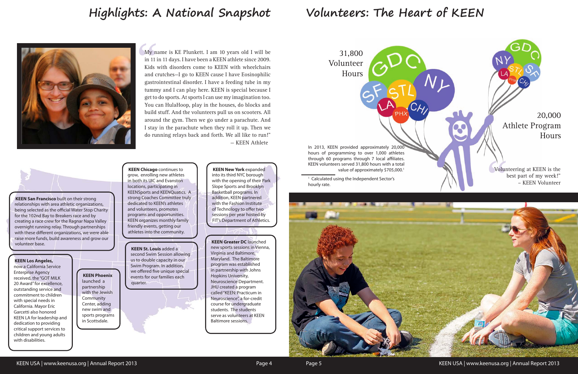# **Highlights: A National Snapshot Volunteers: The Heart of KEEN**

<sup>1</sup> Calculated using the Independent Sector's hourly rate.



KEEN USA | www.keenusa.org | Annual Report 2013 **Page 4** Page 4 Page 5 KEEN USA | www.keenusa.org | Annual Report 2013

hours of programming to over 1,000 athletes through 60 programs through 7 local affiliates. KEEN volunteers served 31,800 hours with a total

My na<br>
in 11 i<br>
Kids<br>
and c<br>
gastro My name is KE Plunkett. I am 10 years old I will be in 11 in 11 days. I have been a KEEN athlete since 2009. Kids with disorders come to KEEN with wheelchairs and crutches—I go to KEEN cause I have Eosinophilic gastrointestinal disorder. I have a feeding tube in my tummy and I can play here. KEEN is special because I get to do sports. At sports I can use my imagination too. You can HulaHoop, play in the houses, do blocks and build stuff. And the volunteers pull us on scooters. All around the gym. Then we go under a parachute. And I stay in the parachute when they roll it up. Then we do running relays back and forth. We all like to run!" — KEEN Athlete



**KEEN Chicago** continues to grow, enrolling new athletes in both its UIC and Evanston locations, participating in KEENSports and KEENQuatics. A strong Coaches Committee truly dedicated to KEEN's athletes and volunteers, promotes programs and opportunities. KEEN organizes monthly family friendly events, getting our athletes into the community.

> **KEEN Greater DC** launched new sports sessions in Vienna, Virginia and Baltimore, Maryland. The Baltimore program was established in partnership with Johns Hopkins University, Neuroscience Department. JHU created a program called "KEEN: Practicum in Neuroscience", a for-credit course for undergraduate students. The students serve as volunteers at KEEN Baltimore sessions.



#### **KEEN Los Angeles,**

now a California Service Enterprise Agency received, the "GOT MILK 20 Award" for excellence, outstanding service and commitment to children with special needs in California. Mayor Eric Garcetti also honored KEEN LA for leadership and dedication to providing critical support services to children and young adults with disabilities.

**KEEN New York** expanded into its third NYC borough with the opening of their Park Slope Sports and Brooklyn Basketball programs. In addition, KEEN partnered with the Fashion Institute of Technology to offer two sessions per year hosted by FIT's Department of Athletics.

## **KEEN St. Louis** added a

second Swim Session allowing us to double capacity in our Swim Program. In addition, we offered five unique special events for our families each quarter.

**KEEN Phoenix** launched a partnership with the Jewish **Community** Center, adding new swim and sports programs in Scottsdale.

**KEEN San Francisco** built on their strong relationships with area athletic organizations, being selected as the official Water Stop Charity for the 102nd Bay to Breakers race and by creating a race crew for the Ragnar Napa Valley overnight running relay. Through partnerships with these different organizations, we were able raise more funds, build awareness and grow our volunteer base.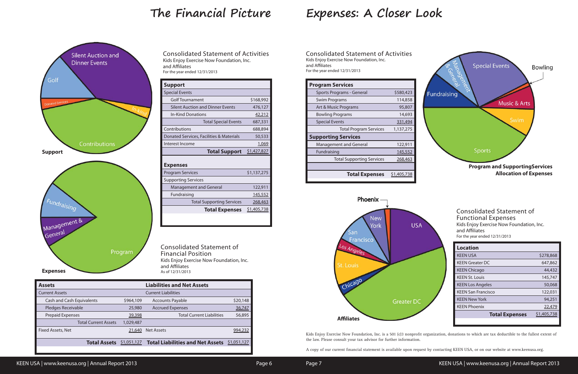# **The Financial Picture Expenses: A Closer Look**

Kids Enjoy Exercise Now Foundation, Inc. is a 501 (c)3 nonprofit organization, donations to which are tax deductible to the fullest extent of the law. Please consult your tax advisor for further information.

A copy of our current financial statement is available upon request by contacting KEEN USA, or on our website at www.keenusa.org.

| <b>Support</b>                           |                |
|------------------------------------------|----------------|
| <b>Special Events</b>                    |                |
| <b>Golf Tournament</b>                   | \$168,992      |
| <b>Silent Auction and Dinner Events</b>  | 476,127        |
| In-Kind Donations                        | 42,212         |
| <b>Total Special Events</b>              | 687,331        |
| Contributions                            | 688,894        |
| Donated Services, Facilities & Materials | 50,533         |
| Interest Income                          | 1,069          |
| <b>Total Support</b>                     | \$1,427,827    |
| <b>Expenses</b>                          |                |
| <b>Program Services</b>                  | \$1,137,275    |
| <b>Supporting Services</b>               |                |
| <b>Management and General</b>            | 122,911        |
| Fundraising                              | <u>145,552</u> |
| <b>Total Supporting Services</b>         | 268,463        |
| <b>Total Expenses</b>                    | \$1,405,738    |
|                                          |                |

Consolidated Statement of Activities Kids Enjoy Exercise Now Foundation, Inc. and Affiliates For the year ended 12/31/2013

Consolidated Statement of Financial Position Kids Enjoy Exercise Now Foundation, Inc. and Affiliates As of 12/31/2013

| <b>Assets</b>                    |             | <b>Liabilities and Net Assets</b>       |             |
|----------------------------------|-------------|-----------------------------------------|-------------|
| <b>Current Assets</b>            |             | <b>Current Liabilities</b>              |             |
| <b>Cash and Cash Equivalents</b> | \$964,109   | <b>Accounts Payable</b>                 | \$20,148    |
| Pledges Receivable               | 25,980      | <b>Accrued Expenses</b>                 | 36,747      |
| Prepaid Expenses                 | 39,398      | <b>Total Current Liabilities</b>        | 56,895      |
| <b>Total Current Assets</b>      | 1,029,487   |                                         |             |
| Fixed Assets, Net                | 21,640      | <b>Net Assets</b>                       | 994,232     |
| <b>Total Assets</b>              | \$1,051,127 | <b>Total Liabilities and Net Assets</b> | \$1,051,127 |

| <b>Program Services</b>          |             |
|----------------------------------|-------------|
| Sports Programs - General        | \$580,423   |
| Swim Programs                    | 114,858     |
| Art & Music Programs             | 95,807      |
| <b>Bowling Programs</b>          | 14,693      |
| <b>Special Events</b>            | 331,494     |
| <b>Total Program Services</b>    | 1,137,275   |
| <b>Supporting Services</b>       |             |
| <b>Management and General</b>    | 122,911     |
| Fundraising                      | 145,552     |
| <b>Total Supporting Services</b> | 268,463     |
|                                  |             |
| <b>Total Expenses</b>            | \$1,405,738 |

Consolidated Statement of Activities Kids Enjoy Exercise Now Foundation, Inc. and Affiliates For the year ended 12/31/2013

| <b>Consolidated Statement of</b><br><b>Functional Expenses</b><br>Kids Enjoy Exercise Now Foundation, Inc.<br>and Affiliates<br>For the year ended 12/31/2013 |               |
|---------------------------------------------------------------------------------------------------------------------------------------------------------------|---------------|
| <b>Location</b>                                                                                                                                               |               |
| <b>KEEN USA</b>                                                                                                                                               | \$278,868     |
| <b>KEEN Greater DC</b>                                                                                                                                        | 647,862       |
| <b>KEEN Chicago</b>                                                                                                                                           | 44,432        |
| <b>KEEN St. Louis</b>                                                                                                                                         | 145,747       |
| <b>KEEN Los Angeles</b>                                                                                                                                       | 50,068        |
| <b>KEEN San Francisco</b>                                                                                                                                     | 122,031       |
| <b>KEEN New York</b>                                                                                                                                          | 94,251        |
| <b>KEEN Phoenix</b>                                                                                                                                           | <u>22,479</u> |
| <b>Total Expenses</b>                                                                                                                                         | \$1,405,738   |
|                                                                                                                                                               |               |



**Program and SupportingServices Allocation of Expenses**



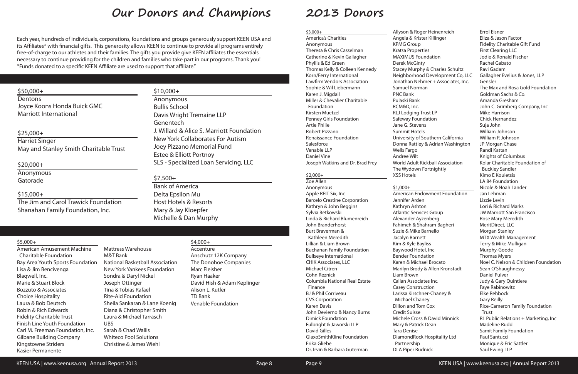# **Our Donors and Champions 2013 Donors**

Each year, hundreds of individuals, corporations, foundations and groups generously support KEEN USA and its Affiliates\* with financial gifts. This generosity allows KEEN to continue to provide all programs entirely free-of-charge to our athletes and their families. The gifts you provide give KEEN affiliates the essentials necessary to continue providing for the children and families who take part in our programs. Thank you! \*Funds donated to a specific KEEN Affiliate are used to support that affiliate."

### $$50,000+$

#### \$3,000+

America's Charities Anonymous Theresa & Chris Casselman Catherine & Kevin Gallagher Phyllis & Ed Green Thomas Kelly & Colleen Kennedy Korn/Ferry International Lawfirm Vendors Association Sophie & Wil Liebermann Karen J. Migdail Miller & Chevalier Charitable Foundation Kirsten Muetzel Penney Girls Foundation Artie Philie Robert Pizzano Renaissance Foundation **Salesforce** Venable LLP Daniel Vine Joseph Watkins and Dr. Brad Frey

#### $$2,000+$

Zoe Allen Anonymous Apple REIT Six, Inc Barcelo Crestine Corporation Kathryn & John Beggins Sylvia Betkowski Linda & Richard Blumenreich John Branderhorst Burt Braverman & Kathleen Meredith Lillian & Liam Brown Buchanan Family Foundation Bullseye International CHIK Associates, LLC Michael Citren Cohn Reznick Columbia National Real Estate Finance BJ & Phil Corriveau CVS Corporation Karen Davis John Devierno & Nancy Burns Dimick Foundation Fulbright & Jaworski LLP David Gilles GlaxoSmithKline Foundation Erika Gliebe Dr. Irvin & Barbara Guterman

Allyson & Roger Heinenreich

Stacey Murphy & Charles Schultz Neighborhood Development Co, LLC Jonathan Nehmer + Associates, Inc.

**Dentons** Joyce Koons Honda Buick GMC Marriott International

Angela & Krister Killinger KPMG Group Kratsa Properties MAXIMUS Foundation Derek McGinty Samuel Norman PNC Bank Pulaski Bank RCM&D, Inc. RLJ Lodging Trust LP Safeway Foundation Jane G. Stevens Summit Hotels Wells Fargo Andree Wilt The Wydown Fortnightly XSS Hotels

#### $$1,000+$

University of Southern California Donna Rattley & Adrian Washington

World Adult Kickball Association

American Endowment Foundation

Jennifer Arden Kathryn Ashton Atlantic Services Group Alexander Ayzenberg Fahimeh & Shahram Bagheri Suzie & Mike Barnello Jacalyn Barnett Kim & Kyle Bayliss Baywood Hotel, Inc Bender Foundation Karen & Michael Brocato Marilyn Brody & Allen Kronstadt Liam Brown Callan Associates Inc. Casey Construction Larissa Kirschner-Chaney & Michael Chaney Dillon and Tom Cox Credit Suisse Michele Cross & David Minnick Mary & Patrick Dean Tara Denise DiamondRock Hospitality Ltd Partnership DLA Piper Rudnick

Errol Eisner Eliza & Jason Factor Fidelity Charitable Gift Fund First Clearing LLC Jodie & Ronald Fischer Rachel Gabato Ravi Gadam Gallagher Evelius & Jones, LLP Gensler The Max and Rosa Gold Foundation Goldman Sachs & Co. Amanda Gresham John C. Grimberg Company, Inc Mike Harrison Chick Hernandez Suja John William Johnson William P. Johnson JP Morgan Chase Randi Kattan Knights of Columbus Kolar Charitable Foundation of Buckley Sandler Kimo E Kouletsis LA 84 Foundation Nicole & Noah Lander Jan Lehman Lizzie Levin Lori & Richard Marks JW Marriott San Francisco Rose Mary Meredith MeritDirect, LLC Morgan Stanley MTX Wealth Management Terry & Mike Mulligan Murphy-Goode Thomas Myers Noel C. Nelson & Children Foundation Sean O'Shaughnessy Daniel Pulver Judy & Gary Quintiere Faye Rabinowitz Elke Rehbock Gary Reilly Rice-Cameron Family Foundation Trust RL Public Relations + Marketing, Inc Madeline Rudd Samit Family Foundation Paul Santucci Monique & Eric Sattler Saul Ewing LLP

### \$25,000+

Harriet Singer May and Stanley Smith Charitable Trust

#### $$20,000+$

Anonymous Gatorade

### $$15,000+$

The Jim and Carol Trawick Foundation Shanahan Family Foundation, Inc.

## $$10,000+$

Anonymous Bullis School Davis Wright Tremaine LLP Genentech J. Willard & Alice S. Marriott Foundation New York Collaborates For Autism Joey Pizzano Memorial Fund Estee & Elliott Portnoy SLS - Specialized Loan Servicing, LLC

## $$7.500+$

Bank of America Delta Epsilon Mu Host Hotels & Resorts Mary & Jay Kloepfer Michelle & Dan Murphy

#### $$5.000+$

American Amusement Machine Charitable Foundation Bay Area Youth Sports Foundation National Basketball Association Lisa & Jim Bencivenga Blaqwell, Inc. Marie & Stuart Block Bozzuto & Associates Choice Hospitality Laura & Bob Deutsch Robin & Rich Edwards Fidelity Charitable Trust Finish Line Youth Foundation Carl M. Freeman Foundation, Inc. Gilbane Building Company Kingstowne Striders Kasier Permanente

Mattress Warehouse M&T Bank New York Yankees Foundation Sondra & Daryl Nickel Joseph Ottinger Tina & Tobias Rafael Rite-Aid Foundation Sheila Sankaran & Lane Koenig Diana & Christopher Smith Laura & Michael Tarrasch UBS Sarah & Chad Wallis Whiteco Pool Solutions Christine & James Wiehl

### \$4,000+

Accenture Anschutz 12K Company The Donohoe Companies Marc Fleisher Ryan Haaker David Hish & Adam Keplinger Alison L. Kutler TD Bank Venable Foundation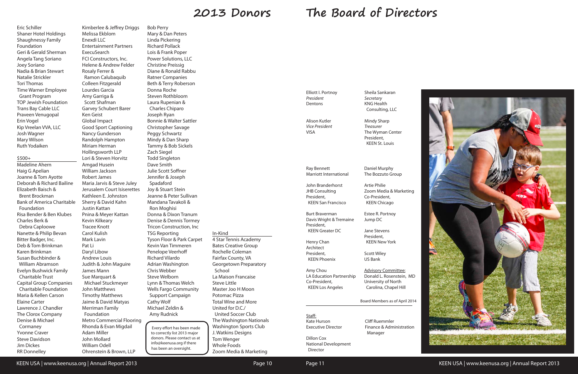Staff: Kate Hurson Executive Director Dillon Cox National Development Director

Cliff Ruemmler Finance & Administration Manager

Elliott I. Portnoy *President* Dentons

Alison Kutler *Vice President* VISA

Sheila Sankaran *Secretary* KNG Health Consulting, LLC

Mindy Sharp *Treasurer* The Wyman Center President,

KEEN St. Louis

Ray Bennett

Marriott International

John Branderhorst JHB Consulting President,

 KEEN San Francisco Burt Braverman President, KEEN Greater DC

Davis Wright & Tremaine

Henry Chan Architect President,

 KEEN Phoenix Amy Chou



KEEN USA | www.keenusa.org | Annual Report 2013 **Page 10** Page 10 Page 11 KEEN USA | www.keenusa.org | Annual Report 2013

LA Education Partnership Co-President, KEEN Los Angeles

Daniel Murphy The Bozzuto Group

Artie Philie

Zoom Media & Marketing

Co-President, KEEN Chicago

Estee R. Portnoy Jump DC

Jane Stevens President, KEEN New York

Scott Wiley US Bank

Advisory Committee: Donald L. Rosenstein, MD University of North Carolina, Chapel Hill

# **2013 Donors The Board of Directors**

Eric Schiller Shaner Hotel Holdings Shaughnessy Family Foundation Geri & Gerald Sherman Angela Tang Soriano Joey Soriano Nadia & Brian Stewart Natalie Strickler Tori Thomas Time Warner Employee Grant Program TOP Jewish Foundation Trans Bay Cable LLC Praveen Venugopal Erin Vogel Kip Vreelan VVA, LLC Josh Wagner Mary Wilson Ruth Yodaiken

#### \$500+

Madeline Ahern Haig G Apelian Joanne & Tom Ayotte Deborah & Richard Bailine Elizabeth Baisch & Brent Brockman Bank of America Charitable Foundation Risa Bender & Ben Klubes Charles Berk & Debra Caploowe Nanette & Philip Bevan Bitter Badger, Inc. Deb & Tom Brinkman Karen Brinkman Susan Buchbinder & William Abramson Evelyn Bushwick Family Charitable Trust Capital Group Companies Charitable Foundation Maria & Kellen Carson Elaine Carter Lawrence J. Chandler The Clorox Company Denise & Michael Cormaney Yvonne Craver Steve Davidson Jim Dickes RR Donnelley

Kimberlee & Jeffrey Driggs Melissa Ekblom Enexdi LLC Entertainment Partners ExecuSearch FCI Constructors, Inc. Helene & Andrew Felder Rosaly Ferrer & Ramon Calubaquib Colleen Fitzgerald Lourdes Garcia Amy Garriga & Scott Shafman Garvey Schubert Barer Ken Geist Global Impact Good Sport Captioning Nancy Gunderson Randolph Hampton Miriam Herman Hollingsworth LLP Lori & Steven Horvitz Amgad Husein William Jackson Robert James Maria Jarvis & Steve Juley Jerusalem Court Isiserettes Kathleen E. Johnston Sherry & David Kahn Justin Kattan Pnina & Meyer Kattan Kevin Kilkeary Tracee Knott Carol Kulish Mark Lavin Pat Li Daryl Libow Andrew Louis Judith & John Maguire James Mann Sue Marquart & Michael Stuckmeyer John Matthews Timothy Matthews Jaime & David Matyas Merriman Family Foundation Metro Commercial Flooring Rhonda & Evan Migdail Adam Miller John Mollard William Odell Ohrenstein & Brown, LLP

Bob Perry Mary & Dan Peters Linda Pickering Richard Pollack Lois & Frank Poper Power Solutions, LLC Christine Preissig Diane & Ronald Rabbu Ratner Companies Beth & Terry Roberson Donna Roche Steven Rothbloom Laura Rupenian & Charles Chiparo Joseph Ryan Bonnie & Walter Sattler Christopher Savage Peggy Schwartz Mindy & Dan Sharp Tammy & Bob Sickels Zach Siegel Todd Singleton Dave Smith Julie Scott Soffner Jennifer & Joseph Spadaford Joy & Stuart Stein Jeanne & Peter Sullivan Mandana Tavakoli & Ron Moghisi Donna & Dixon Tranum Denise & Dennis Tormey Tricon Construction, Inc TSG Reporting Tyson Floor & Park Carpet Kevin Van Timmeren Penelope Veerhoff Richard Vilardo Adrian Washington Chris Webber Steve Welborn Lynn & Thomas Welch Wells Fargo Community Support Campaign Cathy Wolf Michael Zeldin & Amy Rudnick

| In-Kind                       |
|-------------------------------|
| 4 Star Tennis Academy         |
| <b>Bates Creative Group</b>   |
| Rochelle Coleman              |
| Fairfax County, VA            |
| <b>Georgetown Preparatory</b> |
| School                        |
| La Maison Francaise           |
| <b>Steve Little</b>           |
| Master Joo H Moon             |
| Potomac Pizza                 |
| <b>Total Wine and More</b>    |
| United for D.C./              |
| United Soccer Club            |
| The Washington Nationals      |
| <b>Washington Sports Club</b> |
| J. Watkins Designs            |

Tom Wenger Whole Foods

Zoom Media & Marketing

Every effort has been made to correctly list 2013 major donors. Please contact us at info@keenusa.org if there has been an oversight.

Board Members as of April 2014